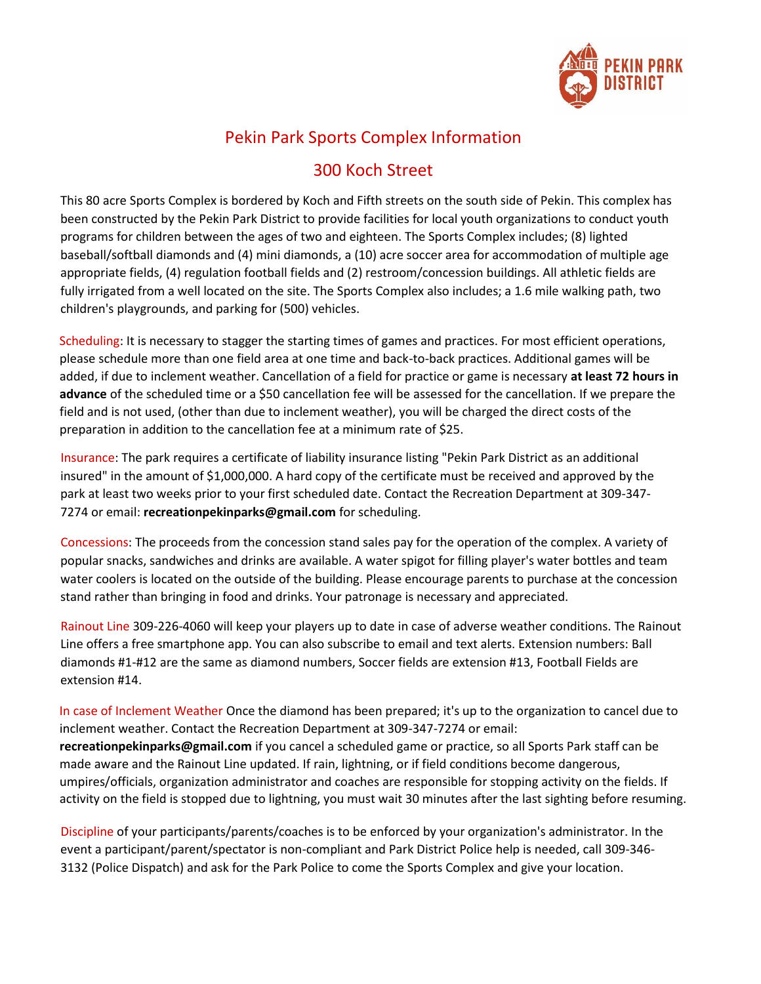

## Pekin Park Sports Complex Information

## 300 Koch Street

This 80 acre Sports Complex is bordered by Koch and Fifth streets on the south side of Pekin. This complex has been constructed by the Pekin Park District to provide facilities for local youth organizations to conduct youth programs for children between the ages of two and eighteen. The Sports Complex includes; (8) lighted baseball/softball diamonds and (4) mini diamonds, a (10) acre soccer area for accommodation of multiple age appropriate fields, (4) regulation football fields and (2) restroom/concession buildings. All athletic fields are fully irrigated from a well located on the site. The Sports Complex also includes; a 1.6 mile walking path, two children's playgrounds, and parking for (500) vehicles.

Scheduling: It is necessary to stagger the starting times of games and practices. For most efficient operations, please schedule more than one field area at one time and back-to-back practices. Additional games will be added, if due to inclement weather. Cancellation of a field for practice or game is necessary **at least 72 hours in advance** of the scheduled time or a \$50 cancellation fee will be assessed for the cancellation. If we prepare the field and is not used, (other than due to inclement weather), you will be charged the direct costs of the preparation in addition to the cancellation fee at a minimum rate of \$25.

Insurance: The park requires a certificate of liability insurance listing "Pekin Park District as an additional insured" in the amount of \$1,000,000. A hard copy of the certificate must be received and approved by the park at least two weeks prior to your first scheduled date. Contact the Recreation Department at 309-347- 7274 or email: **recreationpekinparks@gmail.com** for scheduling.

Concessions: The proceeds from the concession stand sales pay for the operation of the complex. A variety of popular snacks, sandwiches and drinks are available. A water spigot for filling player's water bottles and team water coolers is located on the outside of the building. Please encourage parents to purchase at the concession stand rather than bringing in food and drinks. Your patronage is necessary and appreciated.

Rainout Line 309-226-4060 will keep your players up to date in case of adverse weather conditions. The Rainout Line offers a free smartphone app. You can also subscribe to email and text alerts. Extension numbers: Ball diamonds #1-#12 are the same as diamond numbers, Soccer fields are extension #13, Football Fields are extension #14.

In case of Inclement Weather Once the diamond has been prepared; it's up to the organization to cancel due to inclement weather. Contact the Recreation Department at 309-347-7274 or email: **recreationpekinparks@gmail.com** if you cancel a scheduled game or practice, so all Sports Park staff can be made aware and the Rainout Line updated. If rain, lightning, or if field conditions become dangerous, umpires/officials, organization administrator and coaches are responsible for stopping activity on the fields. If activity on the field is stopped due to lightning, you must wait 30 minutes after the last sighting before resuming.

Discipline of your participants/parents/coaches is to be enforced by your organization's administrator. In the event a participant/parent/spectator is non-compliant and Park District Police help is needed, call 309-346- 3132 (Police Dispatch) and ask for the Park Police to come the Sports Complex and give your location.